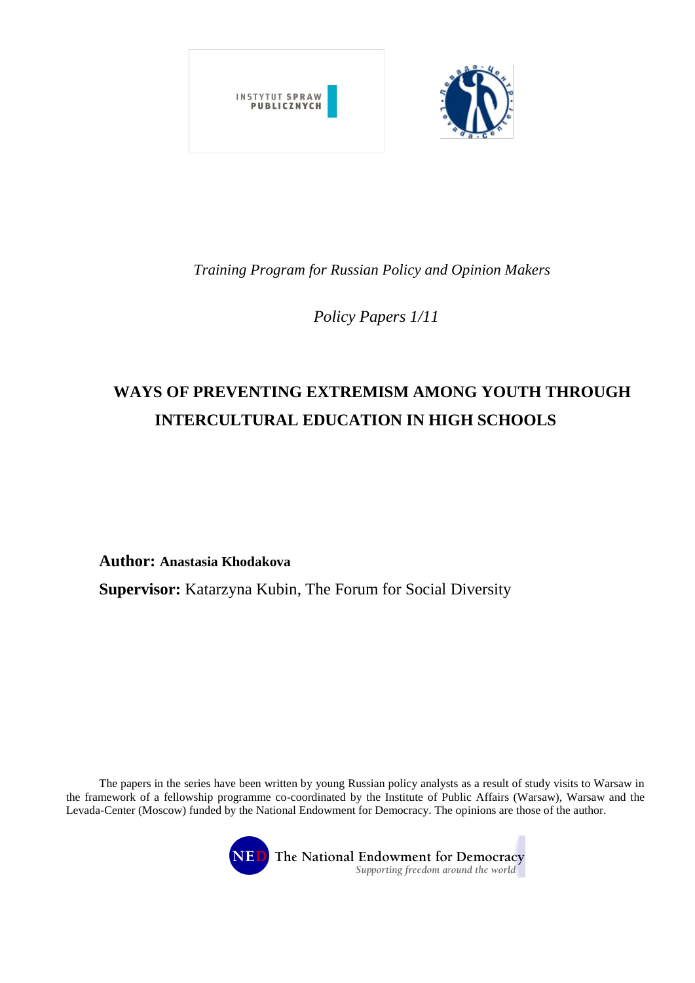

*Training Program for Russian Policy and Opinion Makers* 

*Policy Papers 1/11*

# **WAYS OF PREVENTING EXTREMISM AMONG YOUTH THROUGH INTERCULTURAL EDUCATION IN HIGH SCHOOLS**

**Author: Anastasia Khodakova**

**Supervisor:** Katarzyna Kubin, The Forum for Social Diversity

The papers in the series have been written by young Russian policy analysts as a result of study visits to Warsaw in the framework of a fellowship programme co-coordinated by the Institute of Public Affairs (Warsaw), Warsaw and the Levada-Center (Moscow) funded by the National Endowment for Democracy. The opinions are those of the author.

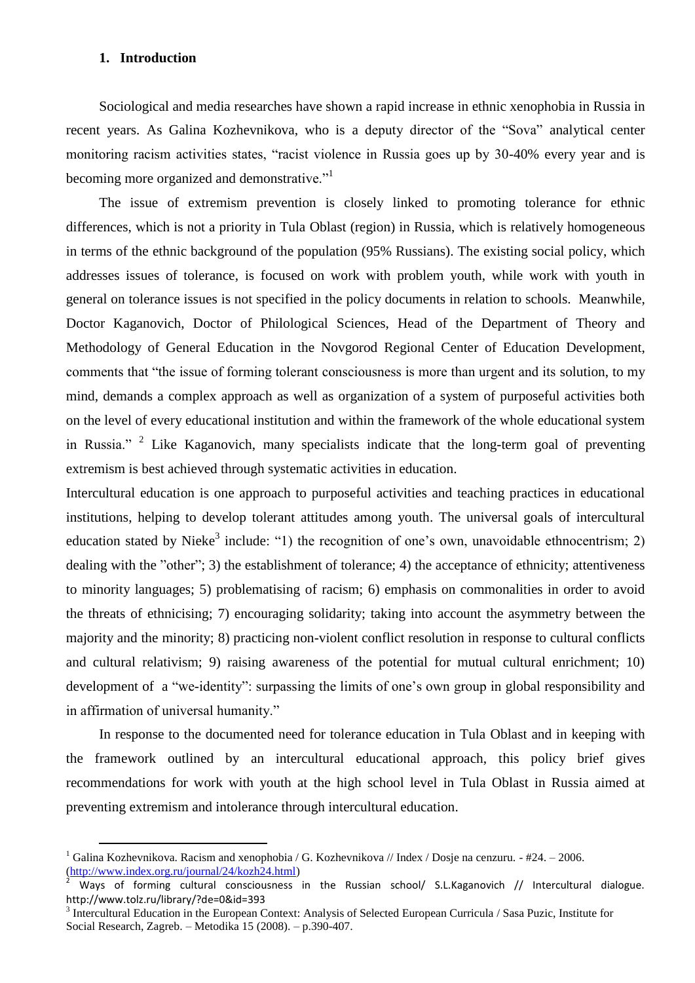#### **1. Introduction**

l

Sociological and media researches have shown a rapid increase in ethnic xenophobia in Russia in recent years. As Galina Kozhevnikova, who is a deputy director of the "Sova" analytical center monitoring racism activities states, "racist violence in Russia goes up by 30-40% every year and is becoming more organized and demonstrative."

The issue of extremism prevention is closely linked to promoting tolerance for ethnic differences, which is not a priority in Tula Oblast (region) in Russia, which is relatively homogeneous in terms of the ethnic background of the population (95% Russians). The existing social policy, which addresses issues of tolerance, is focused on work with problem youth, while work with youth in general on tolerance issues is not specified in the policy documents in relation to schools. Meanwhile, Doctor Kaganovich, Doctor of Philological Sciences, Head of the Department of Theory and Methodology of General Education in the Novgorod Regional Center of Education Development, comments that "the issue of forming tolerant consciousness is more than urgent and its solution, to my mind, demands a complex approach as well as organization of a system of purposeful activities both on the level of every educational institution and within the framework of the whole educational system in Russia."  $2$  Like Kaganovich, many specialists indicate that the long-term goal of preventing extremism is best achieved through systematic activities in education.

Intercultural education is one approach to purposeful activities and teaching practices in educational institutions, helping to develop tolerant attitudes among youth. The universal goals of intercultural education stated by Nieke<sup>3</sup> include: "1) the recognition of one's own, unavoidable ethnocentrism; 2) dealing with the "other"; 3) the establishment of tolerance; 4) the acceptance of ethnicity; attentiveness to minority languages; 5) problematising of racism; 6) emphasis on commonalities in order to avoid the threats of ethnicising; 7) encouraging solidarity; taking into account the asymmetry between the majority and the minority; 8) practicing non-violent conflict resolution in response to cultural conflicts and cultural relativism; 9) raising awareness of the potential for mutual cultural enrichment; 10) development of a "we-identity": surpassing the limits of one's own group in global responsibility and in affirmation of universal humanity."

In response to the documented need for tolerance education in Tula Oblast and in keeping with the framework outlined by an intercultural educational approach, this policy brief gives recommendations for work with youth at the high school level in Tula Oblast in Russia aimed at preventing extremism and intolerance through intercultural education.

<sup>&</sup>lt;sup>1</sup> Galina Kozhevnikova. Racism and xenophobia / G. Kozhevnikova // Index / Dosje na cenzuru. - #24. – 2006. [\(http://www.index.org.ru/journal/24/kozh24.html\)](http://www.index.org.ru/journal/24/kozh24.html)

<sup>2</sup> Ways of forming cultural consciousness in the Russian school/ S.L.Kaganovich // Intercultural dialogue. http://www.tolz.ru/library/?de=0&id=393

<sup>&</sup>lt;sup>3</sup> Intercultural Education in the European Context: Analysis of Selected European Curricula / Sasa Puzic, Institute for Social Research, Zagreb. – Metodika 15 (2008). – p.390-407.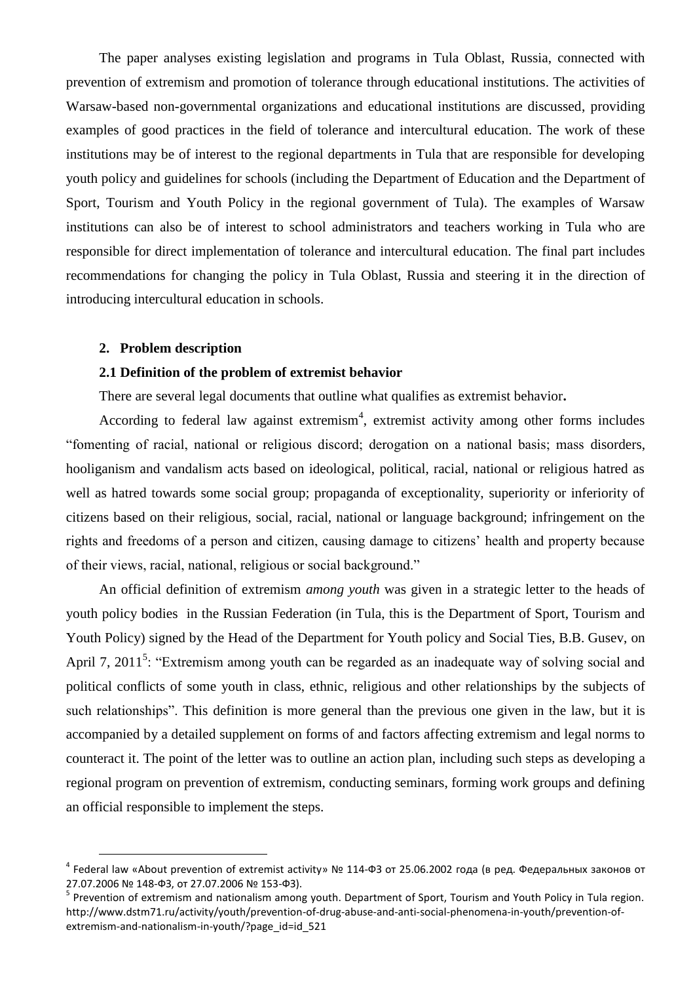The paper analyses existing legislation and programs in Tula Oblast, Russia, connected with prevention of extremism and promotion of tolerance through educational institutions. The activities of Warsaw-based non-governmental organizations and educational institutions are discussed, providing examples of good practices in the field of tolerance and intercultural education. The work of these institutions may be of interest to the regional departments in Tula that are responsible for developing youth policy and guidelines for schools (including the Department of Education and the Department of Sport, Tourism and Youth Policy in the regional government of Tula). The examples of Warsaw institutions can also be of interest to school administrators and teachers working in Tula who are responsible for direct implementation of tolerance and intercultural education. The final part includes recommendations for changing the policy in Tula Oblast, Russia and steering it in the direction of introducing intercultural education in schools.

#### **2. Problem description**

l

#### **2.1 Definition of the problem of extremist behavior**

There are several legal documents that outline what qualifies as extremist behavior**.**

According to federal law against extremism<sup>4</sup>, extremist activity among other forms includes "fomenting of racial, national or religious discord; derogation on a national basis; mass disorders, hooliganism and vandalism acts based on ideological, political, racial, national or religious hatred as well as hatred towards some social group; propaganda of exceptionality, superiority or inferiority of citizens based on their religious, social, racial, national or language background; infringement on the rights and freedoms of a person and citizen, causing damage to citizens' health and property because of their views, racial, national, religious or social background."

An official definition of extremism *among youth* was given in a strategic letter to the heads of youth policy bodies in the Russian Federation (in Tula, this is the Department of Sport, Tourism and Youth Policy) signed by the Head of the Department for Youth policy and Social Ties, B.B. Gusev, on April 7, 2011<sup>5</sup>: "Extremism among youth can be regarded as an inadequate way of solving social and political conflicts of some youth in class, ethnic, religious and other relationships by the subjects of such relationships". This definition is more general than the previous one given in the law, but it is accompanied by a detailed supplement on forms of and factors affecting extremism and legal norms to counteract it. The point of the letter was to outline an action plan, including such steps as developing a regional program on prevention of extremism, conducting seminars, forming work groups and defining an official responsible to implement the steps.

<sup>&</sup>lt;sup>4</sup> Federal law «About prevention of extremist activity» № 114-ФЗ от 25.06.2002 года (в ред. Федеральных законов от 27.07.2006 № 148-ФЗ, от 27.07.2006 № 153-ФЗ).

<sup>&</sup>lt;sup>5</sup> Prevention of extremism and nationalism among youth. Department of Sport, Tourism and Youth Policy in Tula region. http://www.dstm71.ru/activity/youth/prevention-of-drug-abuse-and-anti-social-phenomena-in-youth/prevention-ofextremism-and-nationalism-in-youth/?page\_id=id\_521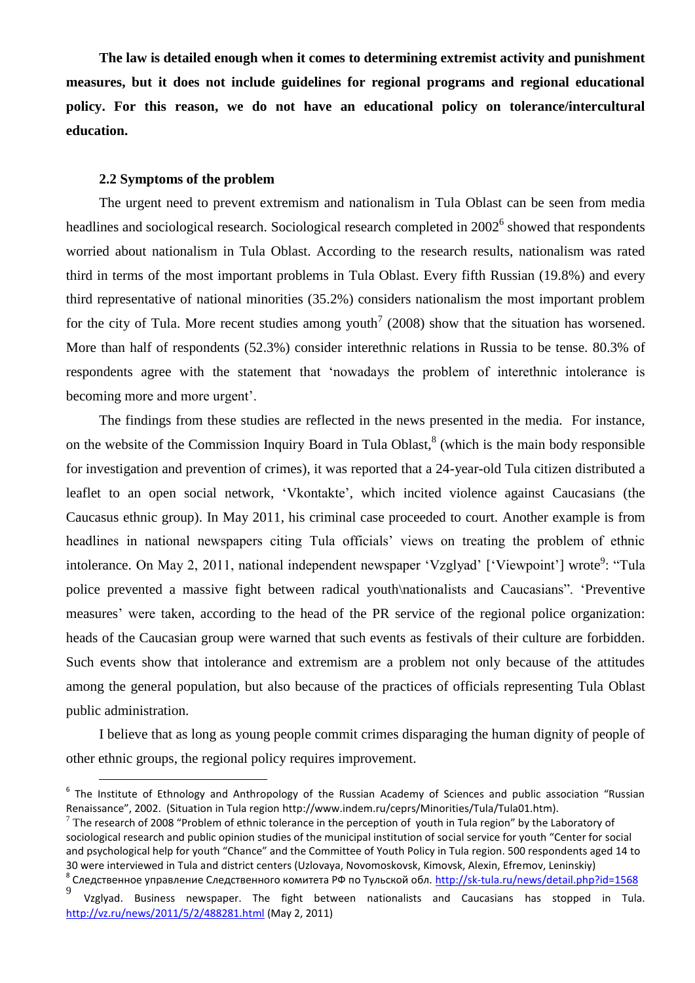**The law is detailed enough when it comes to determining extremist activity and punishment measures, but it does not include guidelines for regional programs and regional educational policy. For this reason, we do not have an educational policy on tolerance/intercultural education.** 

## **2.2 Symptoms of the problem**

 $\overline{a}$ 

The urgent need to prevent extremism and nationalism in Tula Oblast can be seen from media headlines and sociological research. Sociological research completed in  $2002^6$  showed that respondents worried about nationalism in Tula Oblast. According to the research results, nationalism was rated third in terms of the most important problems in Tula Oblast. Every fifth Russian (19.8%) and every third representative of national minorities (35.2%) considers nationalism the most important problem for the city of Tula. More recent studies among youth<sup>7</sup> (2008) show that the situation has worsened. More than half of respondents (52.3%) consider interethnic relations in Russia to be tense. 80.3% of respondents agree with the statement that 'nowadays the problem of interethnic intolerance is becoming more and more urgent'.

The findings from these studies are reflected in the news presented in the media. For instance, on the website of the Commission Inquiry Board in Tula Oblast,<sup>8</sup> (which is the main body responsible for investigation and prevention of crimes), it was reported that a 24-year-old Tula citizen distributed a leaflet to an open social network, 'Vkontakte', which incited violence against Caucasians (the Caucasus ethnic group). In May 2011, his criminal case proceeded to court. Another example is from headlines in national newspapers citing Tula officials' views on treating the problem of ethnic intolerance. On May 2, 2011, national independent newspaper 'Vzglyad' ['Viewpoint'] wrote<sup>9</sup>: "Tula police prevented a massive fight between radical youth\nationalists and Caucasians". 'Preventive measures' were taken, according to the head of the PR service of the regional police organization: heads of the Caucasian group were warned that such events as festivals of their culture are forbidden. Such events show that intolerance and extremism are a problem not only because of the attitudes among the general population, but also because of the practices of officials representing Tula Oblast public administration.

I believe that as long as young people commit crimes disparaging the human dignity of people of other ethnic groups, the regional policy requires improvement.

<sup>&</sup>lt;sup>6</sup> The Institute of Ethnology and Anthropology of the Russian Academy of Sciences and public association "Russian Renaissance", 2002. (Situation in Tula region http://www.indem.ru/ceprs/Minorities/Tula/Tula01.htm).

 $7$  The research of 2008 "Problem of ethnic tolerance in the perception of youth in Tula region" by the Laboratory of sociological research and public opinion studies of the municipal institution of social service for youth "Center for social and psychological help for youth "Chance" and the Committee of Youth Policy in Tula region. 500 respondents aged 14 to 30 were interviewed in Tula and district centers (Uzlovaya, Novomoskovsk, Kimovsk, Alexin, Efremov, Leninskiy) <sup>8</sup> Следственное управление Следственного комитета РФ по Тульской обл. <u><http://sk-tula.ru/news/detail.php?id=1568></u>

<sup>9</sup> Vzglyad. Business newspaper. The fight between nationalists and Caucasians has stopped in Tula. <http://vz.ru/news/2011/5/2/488281.html> (May 2, 2011)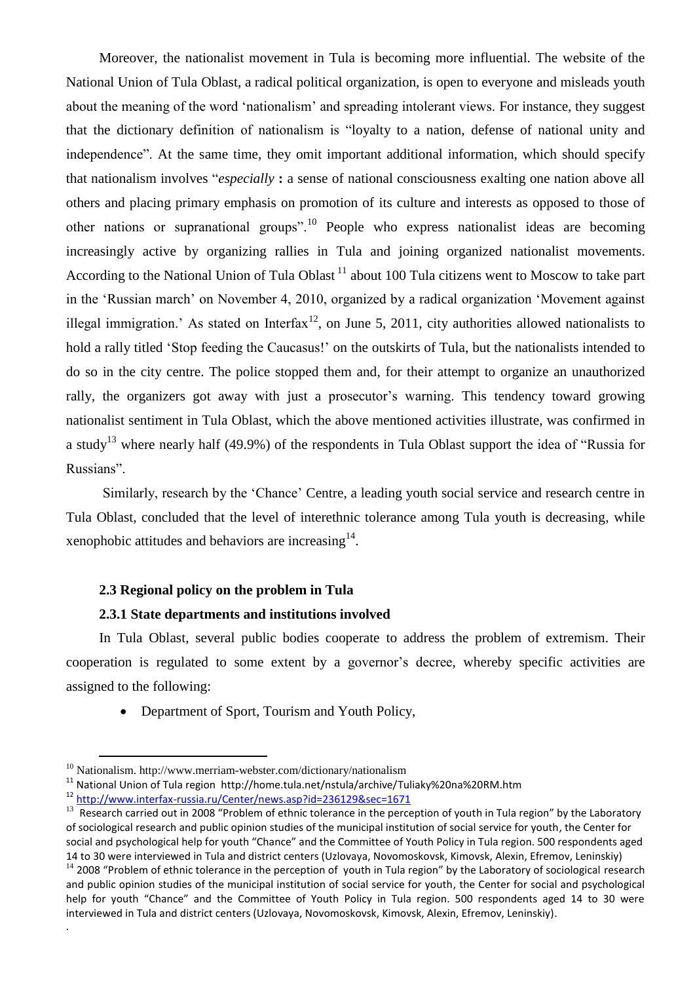Moreover, the nationalist movement in Tula is becoming more influential. The website of the National Union of Tula Oblast, a radical political organization, is open to everyone and misleads youth about the meaning of the word 'nationalism' and spreading intolerant views. For instance, they suggest that the dictionary definition of nationalism is "loyalty to a nation, defense of national unity and independence". At the same time, they omit important additional information, which should specify that nationalism involves "*especially* **:** a sense of national consciousness exalting one nation above all others and placing primary emphasis on promotion of its culture and interests as opposed to those of other nations or supranational groups".<sup>10</sup> People who express nationalist ideas are becoming increasingly active by organizing rallies in Tula and joining organized nationalist movements. According to the National Union of Tula Oblast  $^{11}$  about 100 Tula citizens went to Moscow to take part in the 'Russian march' on November 4, 2010, organized by a radical organization 'Movement against illegal immigration.' As stated on Interfax<sup>12</sup>, on June 5, 2011, city authorities allowed nationalists to hold a rally titled 'Stop feeding the Caucasus!' on the outskirts of Tula, but the nationalists intended to do so in the city centre. The police stopped them and, for their attempt to organize an unauthorized rally, the organizers got away with just a prosecutor's warning. This tendency toward growing nationalist sentiment in Tula Oblast, which the above mentioned activities illustrate, was confirmed in a study<sup>13</sup> where nearly half (49.9%) of the respondents in Tula Oblast support the idea of "Russia for Russians".

Similarly, research by the 'Chance' Centre, a leading youth social service and research centre in Tula Oblast, concluded that the level of interethnic tolerance among Tula youth is decreasing, while xenophobic attitudes and behaviors are increasing $14$ .

# **2.3 Regional policy on the problem in Tula**

#### **2.3.1 State departments and institutions involved**

In Tula Oblast, several public bodies cooperate to address the problem of extremism. Their cooperation is regulated to some extent by a governor's decree, whereby specific activities are assigned to the following:

• Department of Sport, Tourism and Youth Policy,

 $\overline{a}$ 

.

 $10$  Nationalism. http://www.merriam-webster.com/dictionary/nationalism

<sup>11</sup> National Union of Tula region http://home.tula.net/nstula/archive/Tuliaky%20na%20RM.htm

<sup>12</sup> <http://www.interfax-russia.ru/Center/news.asp?id=236129&sec=1671>

<sup>&</sup>lt;sup>13</sup> Research carried out in 2008 "Problem of ethnic tolerance in the perception of youth in Tula region" by the Laboratory of sociological research and public opinion studies of the municipal institution of social service for youth, the Center for social and psychological help for youth "Chance" and the Committee of Youth Policy in Tula region. 500 respondents aged 14 to 30 were interviewed in Tula and district centers (Uzlovaya, Novomoskovsk, Kimovsk, Alexin, Efremov, Leninskiy)

 $14$  2008 "Problem of ethnic tolerance in the perception of youth in Tula region" by the Laboratory of sociological research and public opinion studies of the municipal institution of social service for youth, the Center for social and psychological help for youth "Chance" and the Committee of Youth Policy in Tula region. 500 respondents aged 14 to 30 were interviewed in Tula and district centers (Uzlovaya, Novomoskovsk, Kimovsk, Alexin, Efremov, Leninskiy).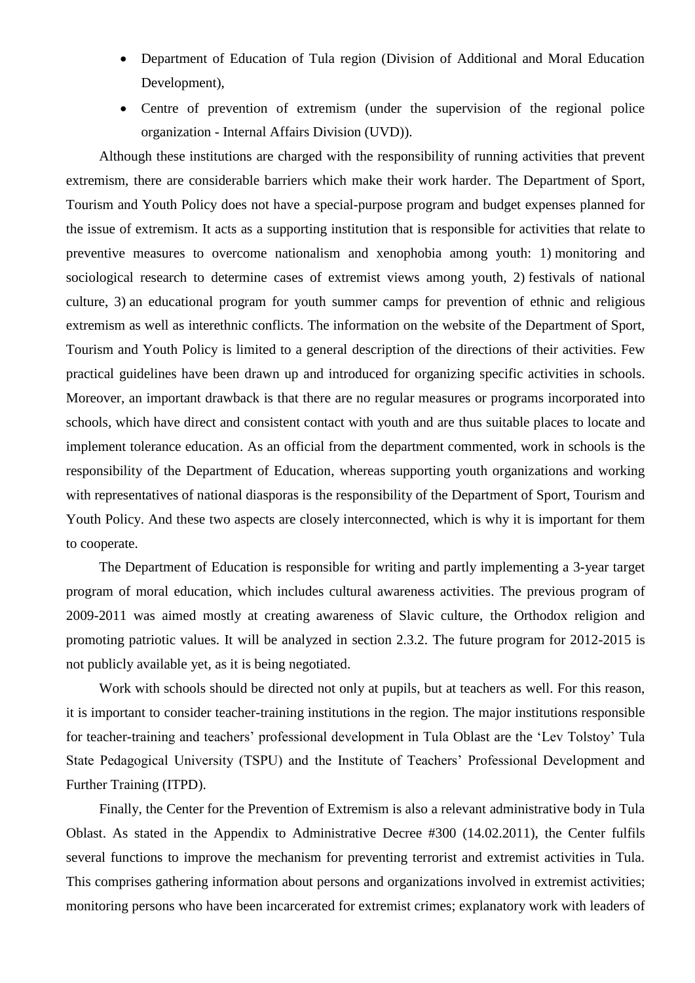- Department of Education of Tula region (Division of Additional and Moral Education Development),
- Centre of prevention of extremism (under the supervision of the regional police organization - Internal Affairs Division (UVD)).

Although these institutions are charged with the responsibility of running activities that prevent extremism, there are considerable barriers which make their work harder. The Department of Sport, Tourism and Youth Policy does not have a special-purpose program and budget expenses planned for the issue of extremism. It acts as a supporting institution that is responsible for activities that relate to preventive measures to overcome nationalism and xenophobia among youth: 1) monitoring and sociological research to determine cases of extremist views among youth, 2) festivals of national culture, 3) an educational program for youth summer camps for prevention of ethnic and religious extremism as well as interethnic conflicts. The information on the website of the Department of Sport, Tourism and Youth Policy is limited to a general description of the directions of their activities. Few practical guidelines have been drawn up and introduced for organizing specific activities in schools. Moreover, an important drawback is that there are no regular measures or programs incorporated into schools, which have direct and consistent contact with youth and are thus suitable places to locate and implement tolerance education. As an official from the department commented, work in schools is the responsibility of the Department of Education, whereas supporting youth organizations and working with representatives of national diasporas is the responsibility of the Department of Sport. Tourism and Youth Policy. And these two aspects are closely interconnected, which is why it is important for them to cooperate.

The Department of Education is responsible for writing and partly implementing a 3-year target program of moral education, which includes cultural awareness activities. The previous program of 2009-2011 was aimed mostly at creating awareness of Slavic culture, the Orthodox religion and promoting patriotic values. It will be analyzed in section 2.3.2. The future program for 2012-2015 is not publicly available yet, as it is being negotiated.

Work with schools should be directed not only at pupils, but at teachers as well. For this reason, it is important to consider teacher-training institutions in the region. The major institutions responsible for teacher-training and teachers' professional development in Tula Oblast are the 'Lev Tolstoy' Tula State Pedagogical University (TSPU) and the Institute of Teachers' Professional Development and Further Training (ITPD).

Finally, the Center for the Prevention of Extremism is also a relevant administrative body in Tula Oblast. As stated in the Appendix to Administrative Decree #300 (14.02.2011), the Center fulfils several functions to improve the mechanism for preventing terrorist and extremist activities in Tula. This comprises gathering information about persons and organizations involved in extremist activities; monitoring persons who have been incarcerated for extremist crimes; explanatory work with leaders of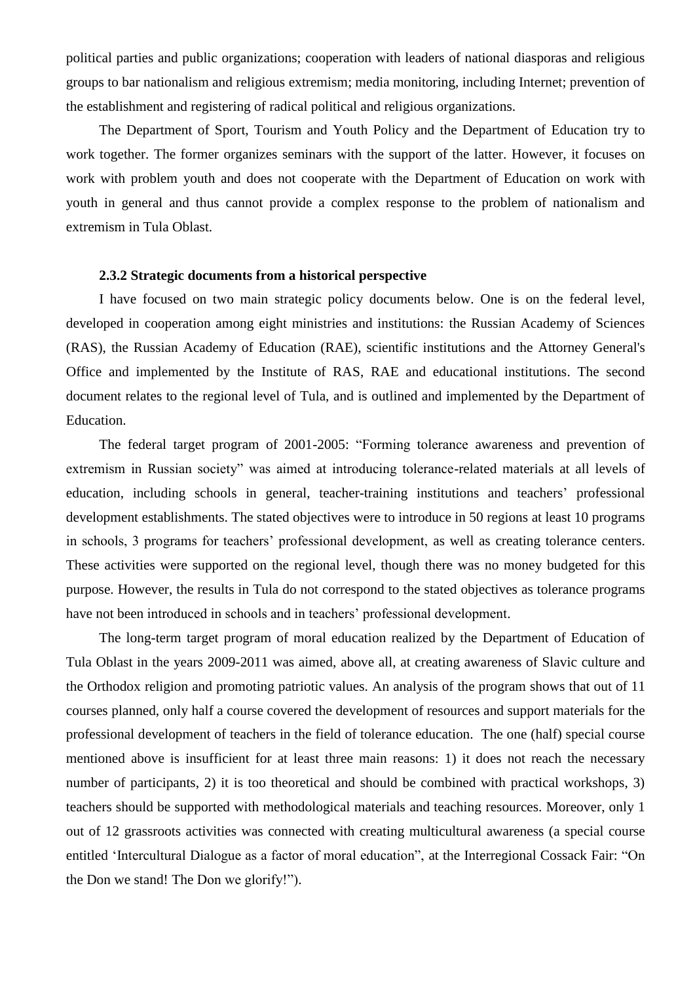political parties and public organizations; cooperation with leaders of national diasporas and religious groups to bar nationalism and religious extremism; media monitoring, including Internet; prevention of the establishment and registering of radical political and religious organizations.

The Department of Sport, Tourism and Youth Policy and the Department of Education try to work together. The former organizes seminars with the support of the latter. However, it focuses on work with problem youth and does not cooperate with the Department of Education on work with youth in general and thus cannot provide a complex response to the problem of nationalism and extremism in Tula Oblast.

## **2.3.2 Strategic documents from a historical perspective**

I have focused on two main strategic policy documents below. One is on the federal level, developed in cooperation among eight ministries and institutions: the Russian Academy of Sciences (RAS), the Russian Academy of Education (RAE), scientific institutions and the Attorney General's Office and implemented by the Institute of RAS, RAE and educational institutions. The second document relates to the regional level of Tula, and is outlined and implemented by the Department of Education.

The federal target program of 2001-2005: "Forming tolerance awareness and prevention of extremism in Russian society" was aimed at introducing tolerance-related materials at all levels of education, including schools in general, teacher-training institutions and teachers' professional development establishments. The stated objectives were to introduce in 50 regions at least 10 programs in schools, 3 programs for teachers' professional development, as well as creating tolerance centers. These activities were supported on the regional level, though there was no money budgeted for this purpose. However, the results in Tula do not correspond to the stated objectives as tolerance programs have not been introduced in schools and in teachers' professional development.

The long-term target program of moral education realized by the Department of Education of Tula Oblast in the years 2009-2011 was aimed, above all, at creating awareness of Slavic culture and the Orthodox religion and promoting patriotic values. An analysis of the program shows that out of 11 courses planned, only half a course covered the development of resources and support materials for the professional development of teachers in the field of tolerance education. The one (half) special course mentioned above is insufficient for at least three main reasons: 1) it does not reach the necessary number of participants, 2) it is too theoretical and should be combined with practical workshops, 3) teachers should be supported with methodological materials and teaching resources. Moreover, only 1 out of 12 grassroots activities was connected with creating multicultural awareness (a special course entitled 'Intercultural Dialogue as a factor of moral education", at the Interregional Cossack Fair: "On the Don we stand! The Don we glorify!").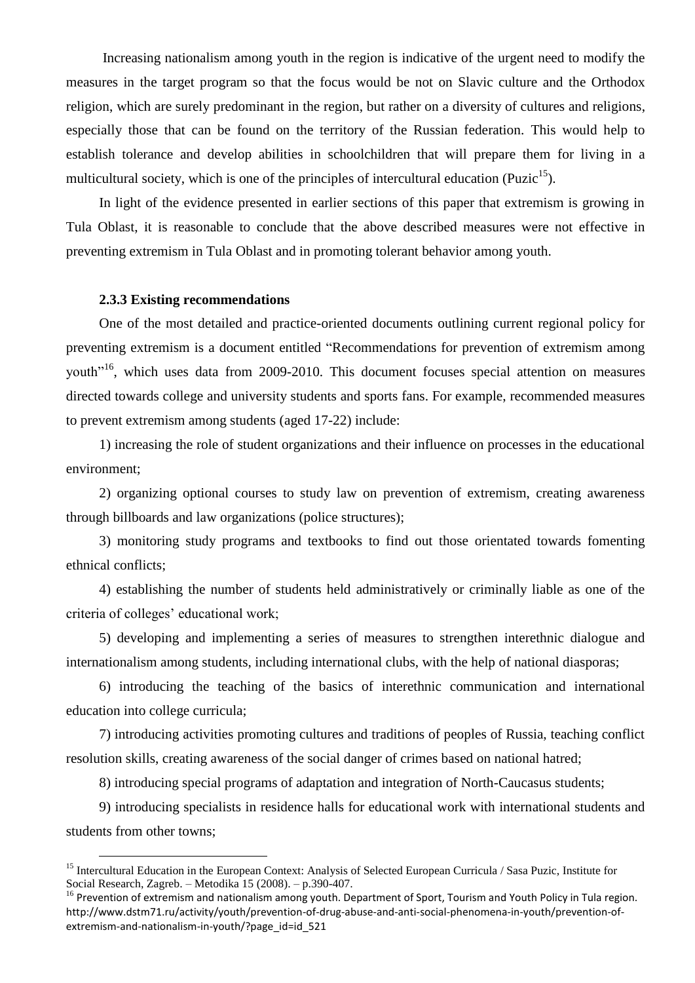Increasing nationalism among youth in the region is indicative of the urgent need to modify the measures in the target program so that the focus would be not on Slavic culture and the Orthodox religion, which are surely predominant in the region, but rather on a diversity of cultures and religions, especially those that can be found on the territory of the Russian federation. This would help to establish tolerance and develop abilities in schoolchildren that will prepare them for living in a multicultural society, which is one of the principles of intercultural education (Puzic<sup>15</sup>).

In light of the evidence presented in earlier sections of this paper that extremism is growing in Tula Oblast, it is reasonable to conclude that the above described measures were not effective in preventing extremism in Tula Oblast and in promoting tolerant behavior among youth.

## **2.3.3 Existing recommendations**

 $\overline{a}$ 

One of the most detailed and practice-oriented documents outlining current regional policy for preventing extremism is a document entitled "Recommendations for prevention of extremism among youth<sup>"16</sup>, which uses data from 2009-2010. This document focuses special attention on measures directed towards college and university students and sports fans. For example, recommended measures to prevent extremism among students (aged 17-22) include:

1) increasing the role of student organizations and their influence on processes in the educational environment;

2) organizing optional courses to study law on prevention of extremism, creating awareness through billboards and law organizations (police structures);

3) monitoring study programs and textbooks to find out those orientated towards fomenting ethnical conflicts;

4) establishing the number of students held administratively or criminally liable as one of the criteria of colleges' educational work;

5) developing and implementing a series of measures to strengthen interethnic dialogue and internationalism among students, including international clubs, with the help of national diasporas;

6) introducing the teaching of the basics of interethnic communication and international education into college curricula;

7) introducing activities promoting cultures and traditions of peoples of Russia, teaching conflict resolution skills, creating awareness of the social danger of crimes based on national hatred;

8) introducing special programs of adaptation and integration of North-Caucasus students;

9) introducing specialists in residence halls for educational work with international students and students from other towns;

<sup>&</sup>lt;sup>15</sup> Intercultural Education in the European Context: Analysis of Selected European Curricula / Sasa Puzic, Institute for Social Research, Zagreb. – Metodika 15 (2008). – p.390-407.

 $16$  Prevention of extremism and nationalism among youth. Department of Sport, Tourism and Youth Policy in Tula region. http://www.dstm71.ru/activity/youth/prevention-of-drug-abuse-and-anti-social-phenomena-in-youth/prevention-ofextremism-and-nationalism-in-youth/?page\_id=id\_521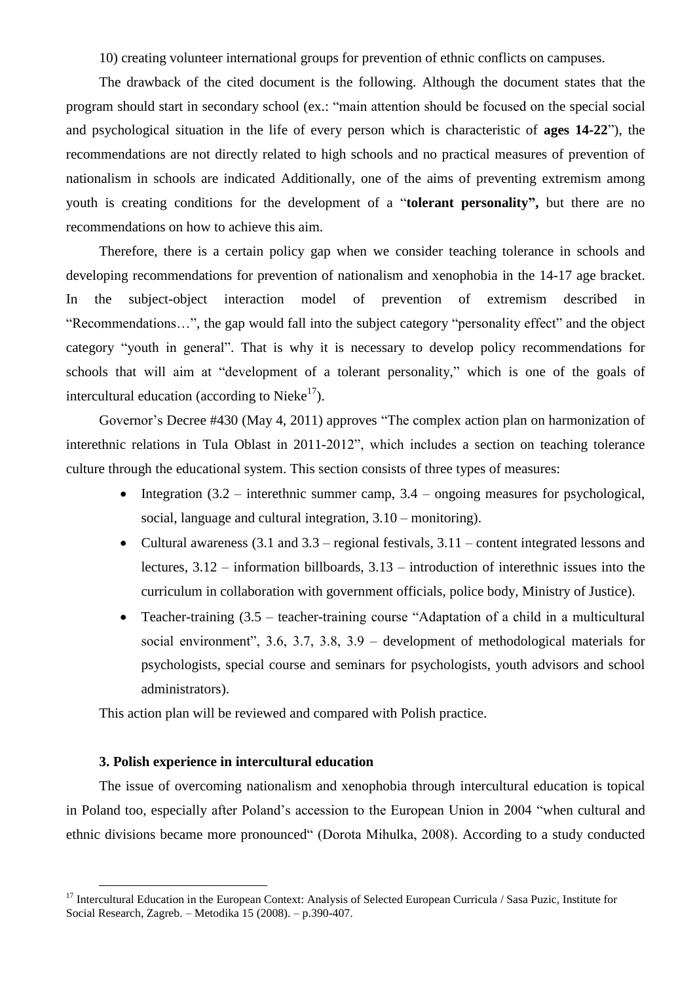10) creating volunteer international groups for prevention of ethnic conflicts on campuses.

The drawback of the cited document is the following. Although the document states that the program should start in secondary school (ex.: "main attention should be focused on the special social and psychological situation in the life of every person which is characteristic of **ages 14-22**"), the recommendations are not directly related to high schools and no practical measures of prevention of nationalism in schools are indicated Additionally, one of the aims of preventing extremism among youth is creating conditions for the development of a "**tolerant personality",** but there are no recommendations on how to achieve this aim.

Therefore, there is a certain policy gap when we consider teaching tolerance in schools and developing recommendations for prevention of nationalism and xenophobia in the 14-17 age bracket. In the subject-object interaction model of prevention of extremism described in "Recommendations…", the gap would fall into the subject category "personality effect" and the object category "youth in general". That is why it is necessary to develop policy recommendations for schools that will aim at "development of a tolerant personality," which is one of the goals of intercultural education (according to Nieke<sup>17</sup>).

Governor's Decree #430 (May 4, 2011) approves "The complex action plan on harmonization of interethnic relations in Tula Oblast in 2011-2012", which includes a section on teaching tolerance culture through the educational system. This section consists of three types of measures:

- Integration  $(3.2 -$  interethnic summer camp,  $3.4 -$  ongoing measures for psychological, social, language and cultural integration, 3.10 – monitoring).
- Cultural awareness  $(3.1 \text{ and } 3.3 \text{ regional testivals}, 3.11 \text{content integrated lessons}$ lectures, 3.12 – information billboards, 3.13 – introduction of interethnic issues into the curriculum in collaboration with government officials, police body, Ministry of Justice).
- Teacher-training (3.5 teacher-training course "Adaptation of a child in a multicultural social environment", 3.6, 3.7, 3.8, 3.9 – development of methodological materials for psychologists, special course and seminars for psychologists, youth advisors and school administrators).

This action plan will be reviewed and compared with Polish practice.

# **3. Polish experience in intercultural education**

l

The issue of overcoming nationalism and xenophobia through intercultural education is topical in Poland too, especially after Poland's accession to the European Union in 2004 "when cultural and ethnic divisions became more pronounced" (Dorota Mihulka, 2008). According to a study conducted

<sup>&</sup>lt;sup>17</sup> Intercultural Education in the European Context: Analysis of Selected European Curricula / Sasa Puzic, Institute for Social Research, Zagreb. – Metodika 15 (2008). – p.390-407.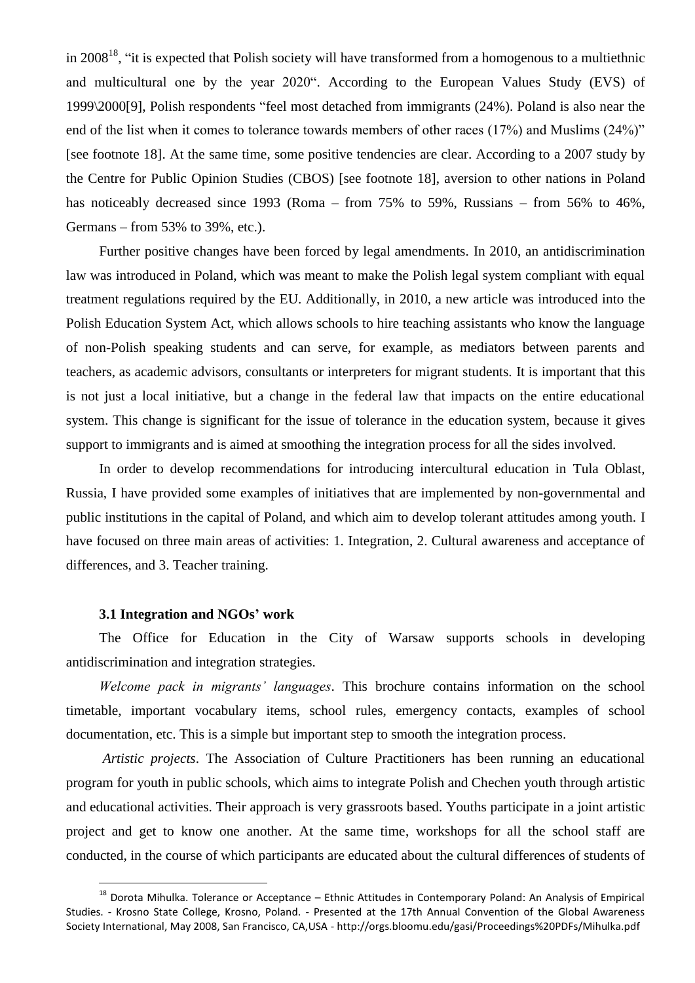in 2008<sup>18</sup>, "it is expected that Polish society will have transformed from a homogenous to a multiethnic and multicultural one by the year 2020". According to the European Values Study (EVS) of 1999\2000[9], Polish respondents "feel most detached from immigrants (24%). Poland is also near the end of the list when it comes to tolerance towards members of other races (17%) and Muslims (24%)" [see footnote 18]. At the same time, some positive tendencies are clear. According to a 2007 study by the Centre for Public Opinion Studies (CBOS) [see footnote 18], aversion to other nations in Poland has noticeably decreased since 1993 (Roma – from 75% to 59%, Russians – from 56% to 46%, Germans – from 53% to 39%, etc.).

Further positive changes have been forced by legal amendments. In 2010, an antidiscrimination law was introduced in Poland, which was meant to make the Polish legal system compliant with equal treatment regulations required by the EU. Additionally, in 2010, a new article was introduced into the Polish Education System Act, which allows schools to hire teaching assistants who know the language of non-Polish speaking students and can serve, for example, as mediators between parents and teachers, as academic advisors, consultants or interpreters for migrant students. It is important that this is not just a local initiative, but a change in the federal law that impacts on the entire educational system. This change is significant for the issue of tolerance in the education system, because it gives support to immigrants and is aimed at smoothing the integration process for all the sides involved.

In order to develop recommendations for introducing intercultural education in Tula Oblast, Russia, I have provided some examples of initiatives that are implemented by non-governmental and public institutions in the capital of Poland, and which aim to develop tolerant attitudes among youth. I have focused on three main areas of activities: 1. Integration, 2. Cultural awareness and acceptance of differences, and 3. Teacher training.

## **3.1 Integration and NGOs' work**

l

The Office for Education in the City of Warsaw supports schools in developing antidiscrimination and integration strategies.

*Welcome pack in migrants' languages*. This brochure contains information on the school timetable, important vocabulary items, school rules, emergency contacts, examples of school documentation, etc. This is a simple but important step to smooth the integration process.

*Artistic projects*. The Association of Culture Practitioners has been running an educational program for youth in public schools, which aims to integrate Polish and Chechen youth through artistic and educational activities. Their approach is very grassroots based. Youths participate in a joint artistic project and get to know one another. At the same time, workshops for all the school staff are conducted, in the course of which participants are educated about the cultural differences of students of

 $18$  Dorota Mihulka. Tolerance or Acceptance – Ethnic Attitudes in Contemporary Poland: An Analysis of Empirical Studies. - Krosno State College, Krosno, Poland. - Presented at the 17th Annual Convention of the Global Awareness Society International, May 2008, San Francisco, CA,USA - http://orgs.bloomu.edu/gasi/Proceedings%20PDFs/Mihulka.pdf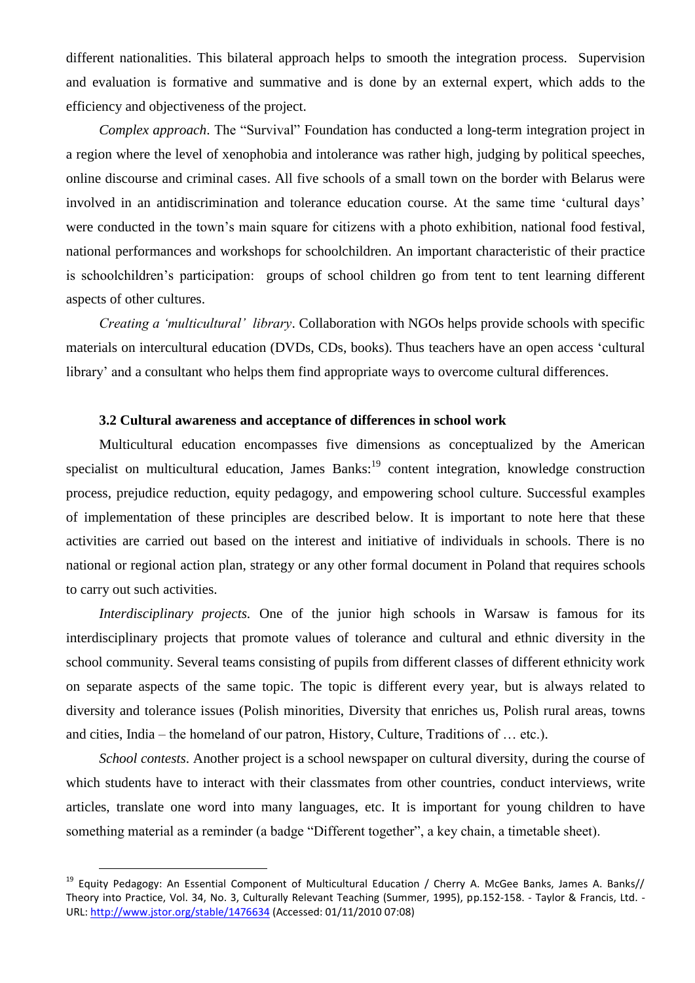different nationalities. This bilateral approach helps to smooth the integration process. Supervision and evaluation is formative and summative and is done by an external expert, which adds to the efficiency and objectiveness of the project.

*Complex approach*. The "Survival" Foundation has conducted a long-term integration project in a region where the level of xenophobia and intolerance was rather high, judging by political speeches, online discourse and criminal cases. All five schools of a small town on the border with Belarus were involved in an antidiscrimination and tolerance education course. At the same time 'cultural days' were conducted in the town's main square for citizens with a photo exhibition, national food festival, national performances and workshops for schoolchildren. An important characteristic of their practice is schoolchildren's participation: groups of school children go from tent to tent learning different aspects of other cultures.

*Creating a 'multicultural' library*. Collaboration with NGOs helps provide schools with specific materials on intercultural education (DVDs, CDs, books). Thus teachers have an open access 'cultural library' and a consultant who helps them find appropriate ways to overcome cultural differences.

## **3.2 Cultural awareness and acceptance of differences in school work**

Multicultural education encompasses five dimensions as conceptualized by the American specialist on multicultural education, James Banks:<sup>19</sup> content integration, knowledge construction process, prejudice reduction, equity pedagogy, and empowering school culture. Successful examples of implementation of these principles are described below. It is important to note here that these activities are carried out based on the interest and initiative of individuals in schools. There is no national or regional action plan, strategy or any other formal document in Poland that requires schools to carry out such activities.

*Interdisciplinary projects.* One of the junior high schools in Warsaw is famous for its interdisciplinary projects that promote values of tolerance and cultural and ethnic diversity in the school community. Several teams consisting of pupils from different classes of different ethnicity work on separate aspects of the same topic. The topic is different every year, but is always related to diversity and tolerance issues (Polish minorities, Diversity that enriches us, Polish rural areas, towns and cities, India – the homeland of our patron, History, Culture, Traditions of … etc.).

*School contests*. Another project is a school newspaper on cultural diversity, during the course of which students have to interact with their classmates from other countries, conduct interviews, write articles, translate one word into many languages, etc. It is important for young children to have something material as a reminder (a badge "Different together", a key chain, a timetable sheet).

 $\overline{a}$ 

<sup>&</sup>lt;sup>19</sup> Equity Pedagogy: An Essential Component of Multicultural Education / Cherry A. McGee Banks, James A. Banks// Theory into Practice, Vol. 34, No. 3, Culturally Relevant Teaching (Summer, 1995), pp.152-158. - Taylor & Francis, Ltd. - URL[: http://www.jstor.org/stable/1476634](http://www.jstor.org/stable/1476634) (Accessed: 01/11/2010 07:08)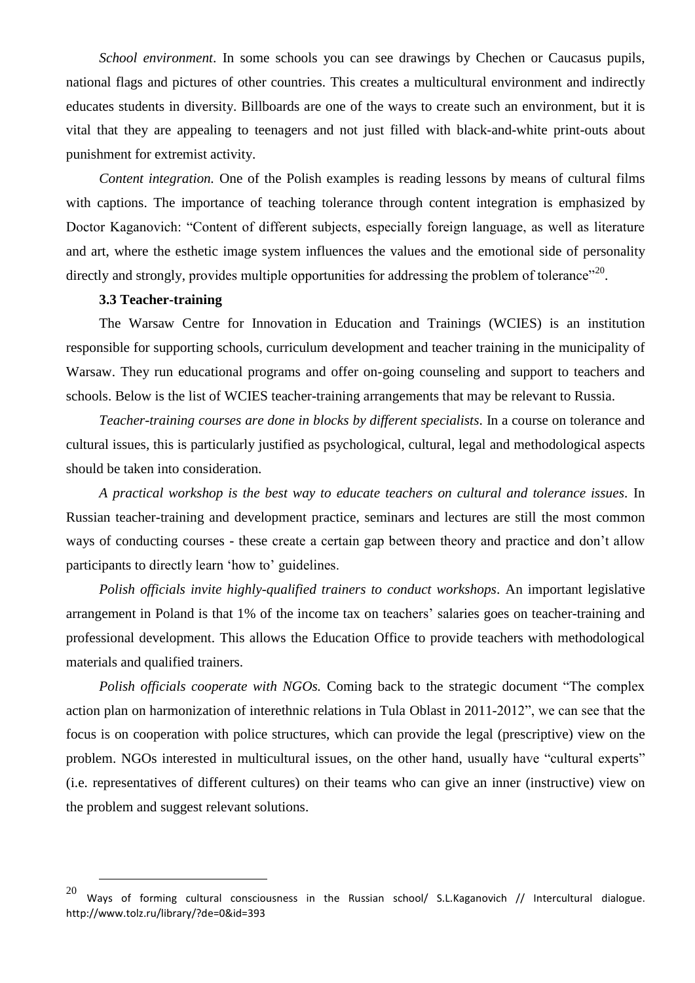*School environment*. In some schools you can see drawings by Chechen or Caucasus pupils, national flags and pictures of other countries. This creates a multicultural environment and indirectly educates students in diversity. Billboards are one of the ways to create such an environment, but it is vital that they are appealing to teenagers and not just filled with black-and-white print-outs about punishment for extremist activity.

*Content integration.* One of the Polish examples is reading lessons by means of cultural films with captions. The importance of teaching tolerance through content integration is emphasized by Doctor Kaganovich: "Content of different subjects, especially foreign language, as well as literature and art, where the esthetic image system influences the values and the emotional side of personality directly and strongly, provides multiple opportunities for addressing the problem of tolerance"<sup>20</sup>.

# **3.3 Teacher-training**

 $\overline{a}$ 

The Warsaw Centre for Innovation in Education and Trainings (WCIES) is an institution responsible for supporting schools, curriculum development and teacher training in the municipality of Warsaw. They run educational programs and offer on-going counseling and support to teachers and schools. Below is the list of WCIES teacher-training arrangements that may be relevant to Russia.

*Teacher-training courses are done in blocks by different specialists*. In a course on tolerance and cultural issues, this is particularly justified as psychological, cultural, legal and methodological aspects should be taken into consideration.

*A practical workshop is the best way to educate teachers on cultural and tolerance issues.* In Russian teacher-training and development practice, seminars and lectures are still the most common ways of conducting courses - these create a certain gap between theory and practice and don't allow participants to directly learn 'how to' guidelines.

*Polish officials invite highly-qualified trainers to conduct workshops*. An important legislative arrangement in Poland is that 1% of the income tax on teachers' salaries goes on teacher-training and professional development. This allows the Education Office to provide teachers with methodological materials and qualified trainers.

*Polish officials cooperate with NGOs.* Coming back to the strategic document "The complex action plan on harmonization of interethnic relations in Tula Oblast in 2011-2012", we can see that the focus is on cooperation with police structures, which can provide the legal (prescriptive) view on the problem. NGOs interested in multicultural issues, on the other hand, usually have "cultural experts" (i.e. representatives of different cultures) on their teams who can give an inner (instructive) view on the problem and suggest relevant solutions.

Ways of forming cultural consciousness in the Russian school/ S.L.Kaganovich // Intercultural dialogue. http://www.tolz.ru/library/?de=0&id=393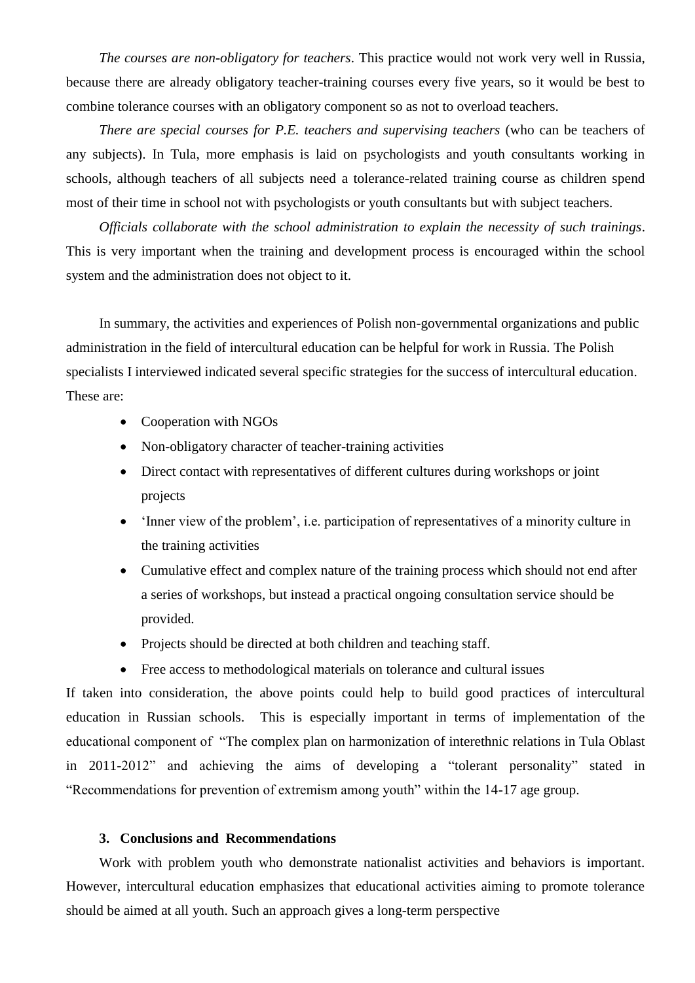*The courses are non-obligatory for teachers*. This practice would not work very well in Russia, because there are already obligatory teacher-training courses every five years, so it would be best to combine tolerance courses with an obligatory component so as not to overload teachers.

*There are special courses for P.E. teachers and supervising teachers* (who can be teachers of any subjects). In Tula, more emphasis is laid on psychologists and youth consultants working in schools, although teachers of all subjects need a tolerance-related training course as children spend most of their time in school not with psychologists or youth consultants but with subject teachers.

*Officials collaborate with the school administration to explain the necessity of such trainings*. This is very important when the training and development process is encouraged within the school system and the administration does not object to it.

In summary, the activities and experiences of Polish non-governmental organizations and public administration in the field of intercultural education can be helpful for work in Russia. The Polish specialists I interviewed indicated several specific strategies for the success of intercultural education. These are:

- Cooperation with NGOs
- Non-obligatory character of teacher-training activities
- Direct contact with representatives of different cultures during workshops or joint projects
- 'Inner view of the problem', i.e. participation of representatives of a minority culture in the training activities
- Cumulative effect and complex nature of the training process which should not end after a series of workshops, but instead a practical ongoing consultation service should be provided.
- Projects should be directed at both children and teaching staff.
- Free access to methodological materials on tolerance and cultural issues

If taken into consideration, the above points could help to build good practices of intercultural education in Russian schools. This is especially important in terms of implementation of the educational component of "The complex plan on harmonization of interethnic relations in Tula Oblast in 2011-2012" and achieving the aims of developing a "tolerant personality" stated in "Recommendations for prevention of extremism among youth" within the 14-17 age group.

# **3. Conclusions and Recommendations**

Work with problem youth who demonstrate nationalist activities and behaviors is important. However, intercultural education emphasizes that educational activities aiming to promote tolerance should be aimed at all youth. Such an approach gives a long-term perspective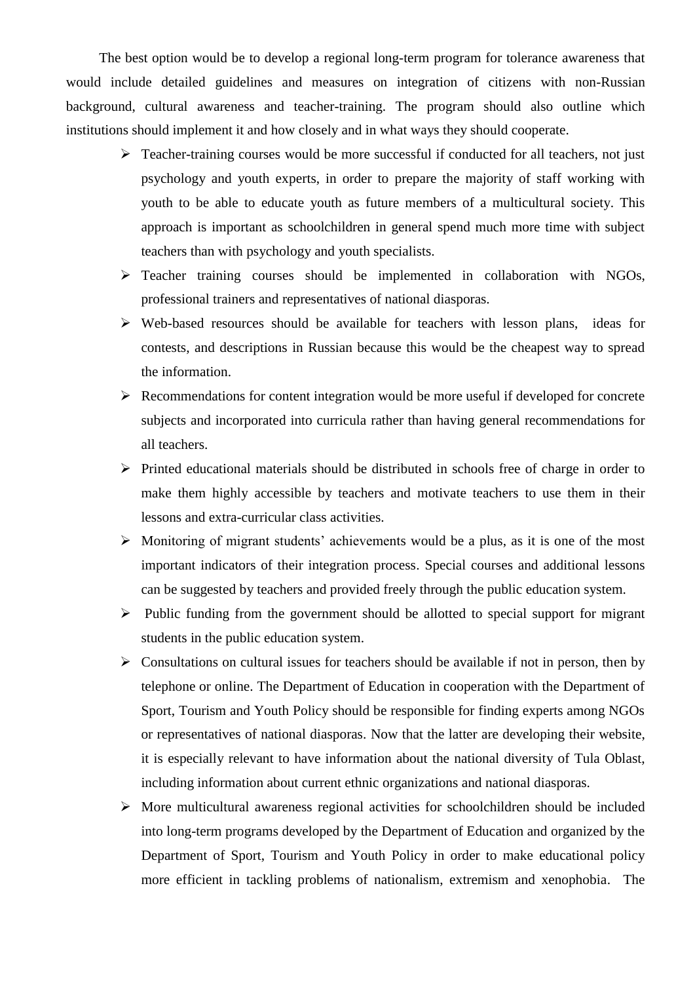The best option would be to develop a regional long-term program for tolerance awareness that would include detailed guidelines and measures on integration of citizens with non-Russian background, cultural awareness and teacher-training. The program should also outline which institutions should implement it and how closely and in what ways they should cooperate.

- $\triangleright$  Teacher-training courses would be more successful if conducted for all teachers, not just psychology and youth experts, in order to prepare the majority of staff working with youth to be able to educate youth as future members of a multicultural society. This approach is important as schoolchildren in general spend much more time with subject teachers than with psychology and youth specialists.
- $\triangleright$  Teacher training courses should be implemented in collaboration with NGOs, professional trainers and representatives of national diasporas.
- $\triangleright$  Web-based resources should be available for teachers with lesson plans, ideas for contests, and descriptions in Russian because this would be the cheapest way to spread the information.
- $\triangleright$  Recommendations for content integration would be more useful if developed for concrete subjects and incorporated into curricula rather than having general recommendations for all teachers.
- $\triangleright$  Printed educational materials should be distributed in schools free of charge in order to make them highly accessible by teachers and motivate teachers to use them in their lessons and extra-curricular class activities.
- $\triangleright$  Monitoring of migrant students' achievements would be a plus, as it is one of the most important indicators of their integration process. Special courses and additional lessons can be suggested by teachers and provided freely through the public education system.
- $\triangleright$  Public funding from the government should be allotted to special support for migrant students in the public education system.
- $\triangleright$  Consultations on cultural issues for teachers should be available if not in person, then by telephone or online. The Department of Education in cooperation with the Department of Sport, Tourism and Youth Policy should be responsible for finding experts among NGOs or representatives of national diasporas. Now that the latter are developing their website, it is especially relevant to have information about the national diversity of Tula Oblast, including information about current ethnic organizations and national diasporas.
- $\triangleright$  More multicultural awareness regional activities for schoolchildren should be included into long-term programs developed by the Department of Education and organized by the Department of Sport, Tourism and Youth Policy in order to make educational policy more efficient in tackling problems of nationalism, extremism and xenophobia. The